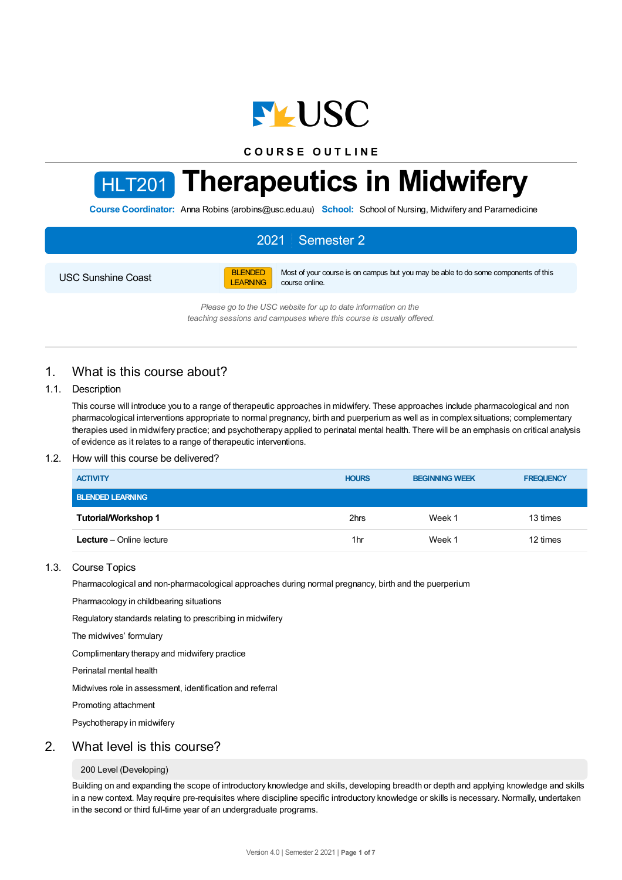

**C O U R S E O U T L I N E**

# HLT201 **Therapeutics in Midwifery**

**Course Coordinator:** Anna Robins (arobins@usc.edu.au) **School:** School of Nursing, Midwifery and Paramedicine

## 2021 Semester 2

USC Sunshine Coast

BLENDED LEARNING

Most of your course is on campus but you may be able to do some components of this course online.

*Please go to the USC website for up to date information on the teaching sessions and campuses where this course is usually offered.*

## 1. What is this course about?

#### 1.1. Description

This course will introduce you to a range of therapeutic approaches in midwifery. These approaches include pharmacological and non pharmacological interventions appropriate to normal pregnancy, birth and puerperium as well as in complex situations; complementary therapies used in midwifery practice; and psychotherapy applied to perinatal mental health. There will be an emphasis on critical analysis of evidence as it relates to a range of therapeutic interventions.

#### 1.2. How will this course be delivered?

| <b>ACTIVITY</b>                 | <b>HOURS</b> | <b>BEGINNING WEEK</b> | <b>FREQUENCY</b> |
|---------------------------------|--------------|-----------------------|------------------|
| <b>BLENDED LEARNING</b>         |              |                       |                  |
| Tutorial/Workshop 1             | 2hrs         | Week 1                | 13 times         |
| <b>Lecture</b> – Online lecture | 1hr          | Week 1                | 12 times         |

#### 1.3. Course Topics

Pharmacological and non-pharmacological approaches during normal pregnancy, birth and the puerperium

Pharmacology in childbearing situations

Regulatory standards relating to prescribing in midwifery

The midwives' formulary

Complimentary therapy and midwifery practice

Perinatal mental health

Midwives role in assessment, identification and referral

Promoting attachment

Psychotherapy in midwifery

#### 2. What level is this course?

#### 200 Level (Developing)

Building on and expanding the scope of introductory knowledge and skills, developing breadth or depth and applying knowledge and skills in a new context. May require pre-requisites where discipline specific introductory knowledge or skills is necessary. Normally, undertaken in the second or third full-time year of an undergraduate programs.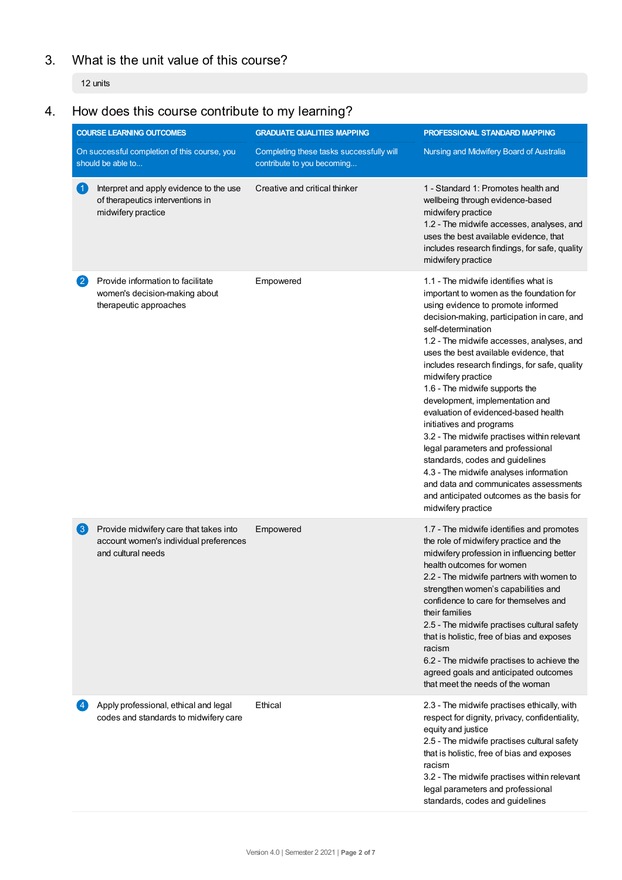## 3. What is the unit value of this course?

12 units

# 4. How does this course contribute to my learning?

|                      | <b>COURSE LEARNING OUTCOMES</b>                                                                        | <b>GRADUATE QUALITIES MAPPING</b>                                      | PROFESSIONAL STANDARD MAPPING                                                                                                                                                                                                                                                                                                                                                                                                                                                                                                                                                                                                                                                                                                                                                   |
|----------------------|--------------------------------------------------------------------------------------------------------|------------------------------------------------------------------------|---------------------------------------------------------------------------------------------------------------------------------------------------------------------------------------------------------------------------------------------------------------------------------------------------------------------------------------------------------------------------------------------------------------------------------------------------------------------------------------------------------------------------------------------------------------------------------------------------------------------------------------------------------------------------------------------------------------------------------------------------------------------------------|
|                      | On successful completion of this course, you<br>should be able to                                      | Completing these tasks successfully will<br>contribute to you becoming | Nursing and Midwifery Board of Australia                                                                                                                                                                                                                                                                                                                                                                                                                                                                                                                                                                                                                                                                                                                                        |
| $\blacktriangleleft$ | Interpret and apply evidence to the use<br>of therapeutics interventions in<br>midwifery practice      | Creative and critical thinker                                          | 1 - Standard 1: Promotes health and<br>wellbeing through evidence-based<br>midwifery practice<br>1.2 - The midwife accesses, analyses, and<br>uses the best available evidence, that<br>includes research findings, for safe, quality<br>midwifery practice                                                                                                                                                                                                                                                                                                                                                                                                                                                                                                                     |
| $\mathbf{2}$         | Provide information to facilitate<br>women's decision-making about<br>therapeutic approaches           | Empowered                                                              | 1.1 - The midwife identifies what is<br>important to women as the foundation for<br>using evidence to promote informed<br>decision-making, participation in care, and<br>self-determination<br>1.2 - The midwife accesses, analyses, and<br>uses the best available evidence, that<br>includes research findings, for safe, quality<br>midwifery practice<br>1.6 - The midwife supports the<br>development, implementation and<br>evaluation of evidenced-based health<br>initiatives and programs<br>3.2 - The midwife practises within relevant<br>legal parameters and professional<br>standards, codes and guidelines<br>4.3 - The midwife analyses information<br>and data and communicates assessments<br>and anticipated outcomes as the basis for<br>midwifery practice |
| $\left( 3\right)$    | Provide midwifery care that takes into<br>account women's individual preferences<br>and cultural needs | Empowered                                                              | 1.7 - The midwife identifies and promotes<br>the role of midwifery practice and the<br>midwifery profession in influencing better<br>health outcomes for women<br>2.2 - The midwife partners with women to<br>strengthen women's capabilities and<br>confidence to care for themselves and<br>their families<br>2.5 - The midwife practises cultural safety<br>that is holistic, free of bias and exposes<br>racism<br>6.2 - The midwife practises to achieve the<br>agreed goals and anticipated outcomes<br>that meet the needs of the woman                                                                                                                                                                                                                                  |
|                      | Apply professional, ethical and legal<br>codes and standards to midwifery care                         | Ethical                                                                | 2.3 - The midwife practises ethically, with<br>respect for dignity, privacy, confidentiality,<br>equity and justice<br>2.5 - The midwife practises cultural safety<br>that is holistic, free of bias and exposes<br>racism<br>3.2 - The midwife practises within relevant<br>legal parameters and professional<br>standards, codes and guidelines                                                                                                                                                                                                                                                                                                                                                                                                                               |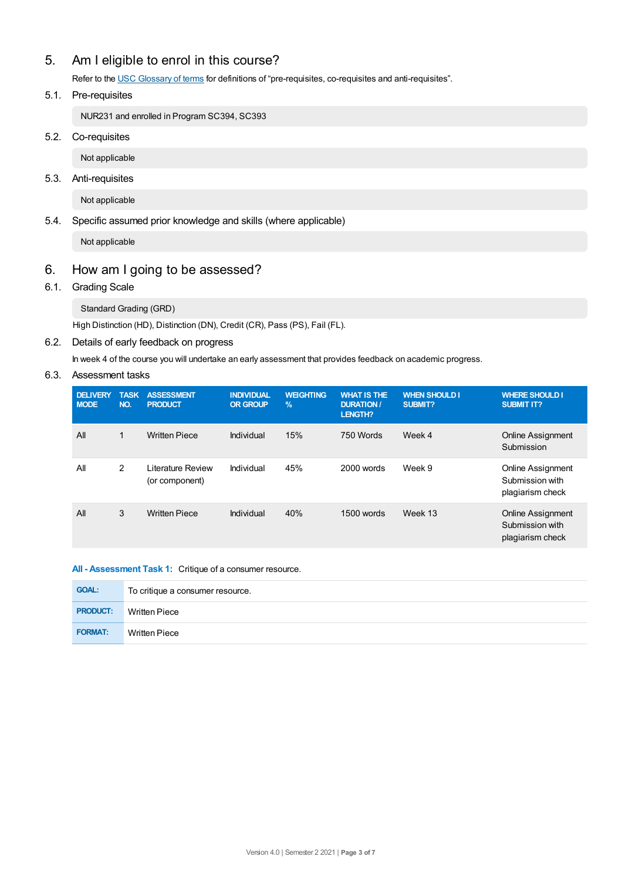## 5. Am Ieligible to enrol in this course?

Refer to the USC [Glossary](https://www.usc.edu.au/about/policies-and-procedures/glossary-of-terms-for-policy-and-procedures) of terms for definitions of "pre-requisites, co-requisites and anti-requisites".

#### 5.1. Pre-requisites

NUR231 and enrolled in Program SC394, SC393

#### 5.2. Co-requisites

Not applicable

#### 5.3. Anti-requisites

Not applicable

#### 5.4. Specific assumed prior knowledge and skills (where applicable)

Not applicable

## 6. How am Igoing to be assessed?

#### 6.1. Grading Scale

Standard Grading (GRD)

High Distinction (HD), Distinction (DN), Credit (CR), Pass (PS), Fail (FL).

#### 6.2. Details of early feedback on progress

In week 4 of the course you will undertake an early assessment that provides feedback on academic progress.

#### 6.3. Assessment tasks

| <b>DELIVERY</b><br><b>MODE</b> | <b>TASK</b><br>NO. | <b>ASSESSMENT</b><br><b>PRODUCT</b> | <b>INDIVIDUAL</b><br><b>OR GROUP</b> | <b>WEIGHTING</b><br>$\frac{9}{6}$ | <b>WHAT IS THE</b><br><b>DURATION /</b><br>LENGTH? | <b>WHEN SHOULD I</b><br><b>SUBMIT?</b> | <b>WHERE SHOULD I</b><br><b>SUBMIT IT?</b>                      |
|--------------------------------|--------------------|-------------------------------------|--------------------------------------|-----------------------------------|----------------------------------------------------|----------------------------------------|-----------------------------------------------------------------|
| All                            | $\mathbf{1}$       | <b>Written Piece</b>                | Individual                           | 15%                               | 750 Words                                          | Week 4                                 | <b>Online Assignment</b><br>Submission                          |
| All                            | 2                  | Literature Review<br>(or component) | Individual                           | 45%                               | $2000$ words                                       | Week 9                                 | <b>Online Assignment</b><br>Submission with<br>plagiarism check |
| All                            | 3                  | <b>Written Piece</b>                | Individual                           | 40%                               | 1500 words                                         | Week 13                                | <b>Online Assignment</b><br>Submission with<br>plagiarism check |

#### **All - Assessment Task 1:** Critique of a consumer resource.

| <b>GOAL:</b>    | To critique a consumer resource. |
|-----------------|----------------------------------|
| <b>PRODUCT:</b> | <b>Written Piece</b>             |
| <b>FORMAT:</b>  | <b>Written Piece</b>             |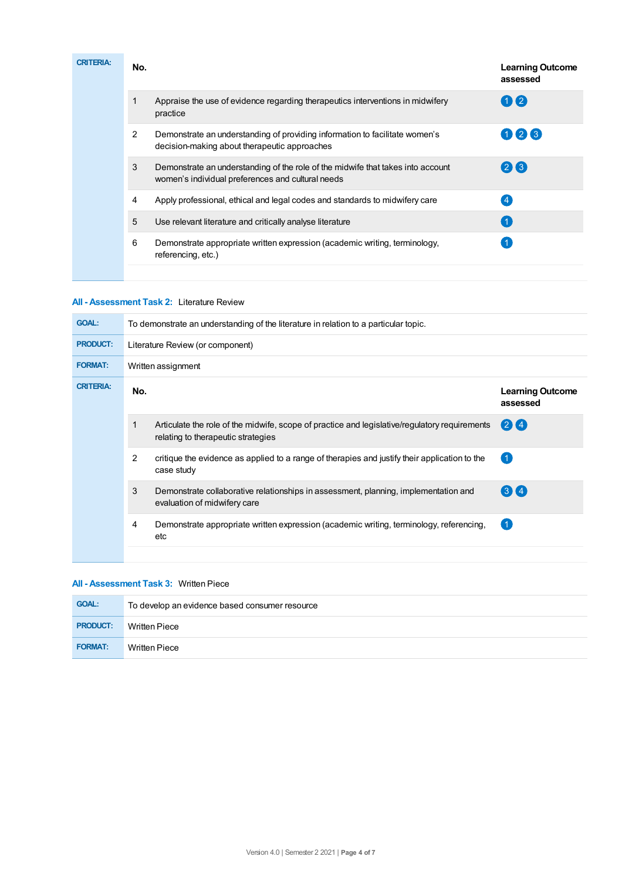| <b>CRITERIA:</b> | No. |                                                                                                                                      | <b>Learning Outcome</b><br>assessed |
|------------------|-----|--------------------------------------------------------------------------------------------------------------------------------------|-------------------------------------|
|                  |     | Appraise the use of evidence regarding therapeutics interventions in midwifery<br>practice                                           | $\mathbf{0}$                        |
|                  | 2   | Demonstrate an understanding of providing information to facilitate women's<br>decision-making about therapeutic approaches          | 026                                 |
|                  | 3   | Demonstrate an understanding of the role of the midwife that takes into account<br>women's individual preferences and cultural needs | 23                                  |
|                  | 4   | Apply professional, ethical and legal codes and standards to midwifery care                                                          |                                     |
|                  | 5   | Use relevant literature and critically analyse literature                                                                            | $\overline{1}$                      |
|                  | 6   | Demonstrate appropriate written expression (academic writing, terminology,<br>referencing, etc.)                                     |                                     |

#### **All - Assessment Task 2:** Literature Review

| <b>GOAL:</b>     | To demonstrate an understanding of the literature in relation to a particular topic. |                                                                                                                                     |                                     |  |  |  |
|------------------|--------------------------------------------------------------------------------------|-------------------------------------------------------------------------------------------------------------------------------------|-------------------------------------|--|--|--|
| <b>PRODUCT:</b>  | Literature Review (or component)                                                     |                                                                                                                                     |                                     |  |  |  |
| <b>FORMAT:</b>   |                                                                                      | Written assignment                                                                                                                  |                                     |  |  |  |
| <b>CRITERIA:</b> | No.                                                                                  |                                                                                                                                     | <b>Learning Outcome</b><br>assessed |  |  |  |
|                  |                                                                                      | Articulate the role of the midwife, scope of practice and legislative/regulatory requirements<br>relating to therapeutic strategies | $(2)$ $(4)$                         |  |  |  |
|                  | $\overline{2}$                                                                       | critique the evidence as applied to a range of therapies and justify their application to the<br>case study                         | $\overline{1}$                      |  |  |  |
|                  | 3                                                                                    | Demonstrate collaborative relationships in assessment, planning, implementation and<br>evaluation of midwifery care                 | $3\,$ K 4                           |  |  |  |
|                  | 4                                                                                    | Demonstrate appropriate written expression (academic writing, terminology, referencing,<br>etc                                      | (1)                                 |  |  |  |
|                  |                                                                                      |                                                                                                                                     |                                     |  |  |  |

#### **All - Assessment Task 3:** Written Piece

| <b>GOAL:</b>    | To develop an evidence based consumer resource |
|-----------------|------------------------------------------------|
| <b>PRODUCT:</b> | <b>Written Piece</b>                           |
| <b>FORMAT:</b>  | Written Piece                                  |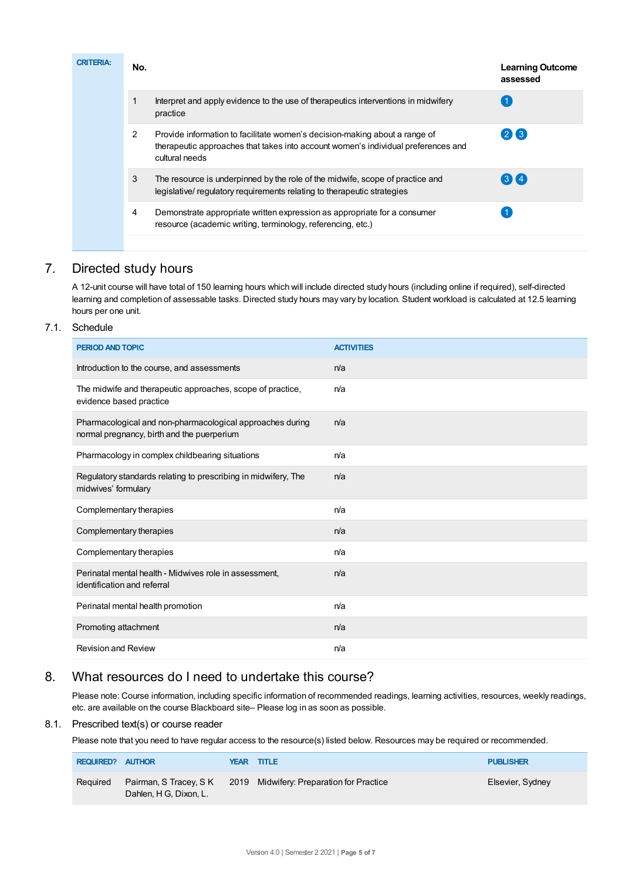| <b>CRITERIA:</b> | No.            |                                                                                                                                                                                   | <b>Learning Outcome</b><br>assessed |
|------------------|----------------|-----------------------------------------------------------------------------------------------------------------------------------------------------------------------------------|-------------------------------------|
|                  |                | Interpret and apply evidence to the use of therapeutics interventions in midwifery<br>practice                                                                                    |                                     |
|                  | $\overline{2}$ | Provide information to facilitate women's decision-making about a range of<br>therapeutic approaches that takes into account women's individual preferences and<br>cultural needs | 26                                  |
|                  | 3              | The resource is underpinned by the role of the midwife, scope of practice and<br>legislative/regulatory requirements relating to therapeutic strategies                           | $3\bm{X}4$                          |
|                  | 4              | Demonstrate appropriate written expression as appropriate for a consumer<br>resource (academic writing, terminology, referencing, etc.)                                           |                                     |

## 7. Directed study hours

A 12-unit course will have total of 150 learning hours which will include directed study hours (including online if required), self-directed learning and completion of assessable tasks. Directed study hours may vary by location. Student workload is calculated at 12.5 learning hours per one unit.

#### 7.1. Schedule

| PERIOD AND TOPIC                                                                                        | <b>ACTIVITIES</b> |
|---------------------------------------------------------------------------------------------------------|-------------------|
| Introduction to the course, and assessments                                                             | n/a               |
| The midwife and therapeutic approaches, scope of practice,<br>evidence based practice                   | n/a               |
| Pharmacological and non-pharmacological approaches during<br>normal pregnancy, birth and the puerperium | n/a               |
| Pharmacology in complex childbearing situations                                                         | n/a               |
| Regulatory standards relating to prescribing in midwifery, The<br>midwives' formulary                   | n/a               |
| Complementary therapies                                                                                 | n/a               |
| Complementary therapies                                                                                 | n/a               |
| Complementary therapies                                                                                 | n/a               |
| Perinatal mental health - Midwives role in assessment,<br>identification and referral                   | n/a               |
| Perinatal mental health promotion                                                                       | n/a               |
| Promoting attachment                                                                                    | n/a               |
| <b>Revision and Review</b>                                                                              | n/a               |

## 8. What resources do I need to undertake this course?

Please note: Course information, including specific information of recommended readings, learning activities, resources, weekly readings, etc. are available on the course Blackboard site– Please log in as soon as possible.

#### 8.1. Prescribed text(s) or course reader

Please note that you need to have regular access to the resource(s) listed below. Resources may be required or recommended.

| <b>REQUIRED? AUTHOR</b> |                                                  | <b>YEAR TITLE</b>                        | <b>PUBLISHER</b> |
|-------------------------|--------------------------------------------------|------------------------------------------|------------------|
| Required                | Pairman, S Tracey, S K<br>Dahlen, H G, Dixon, L. | 2019 Midwifery: Preparation for Practice | Elsevier, Sydney |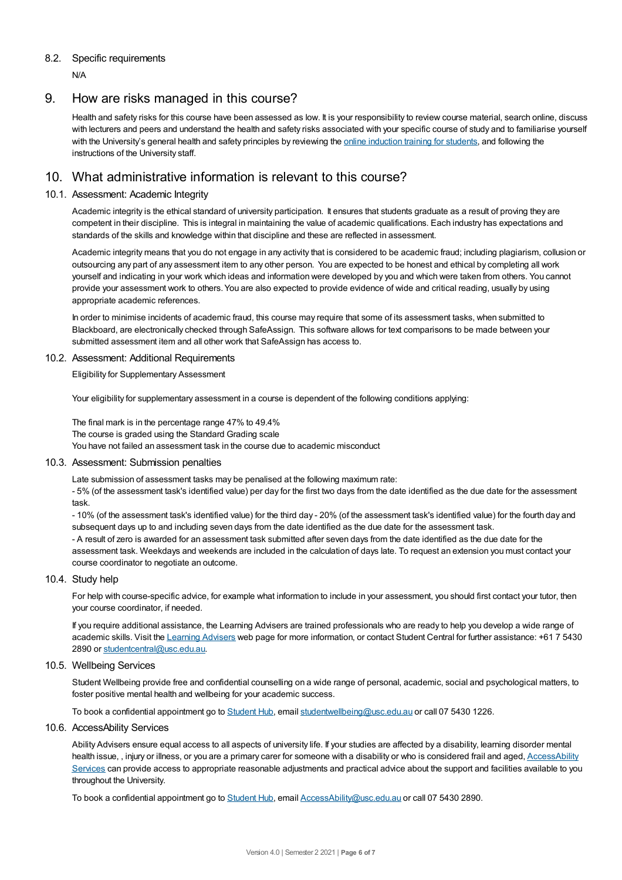#### 8.2. Specific requirements

N/A

### 9. How are risks managed in this course?

Health and safety risks for this course have been assessed as low. It is your responsibility to review course material, search online, discuss with lecturers and peers and understand the health and safety risks associated with your specific course of study and to familiarise yourself with the University's general health and safety principles by reviewing the online [induction](https://online.usc.edu.au/webapps/blackboard/content/listContentEditable.jsp?content_id=_632657_1&course_id=_14432_1) training for students, and following the instructions of the University staff.

## 10. What administrative information is relevant to this course?

#### 10.1. Assessment: Academic Integrity

Academic integrity is the ethical standard of university participation. It ensures that students graduate as a result of proving they are competent in their discipline. This is integral in maintaining the value of academic qualifications. Each industry has expectations and standards of the skills and knowledge within that discipline and these are reflected in assessment.

Academic integrity means that you do not engage in any activity that is considered to be academic fraud; including plagiarism, collusion or outsourcing any part of any assessment item to any other person. You are expected to be honest and ethical by completing all work yourself and indicating in your work which ideas and information were developed by you and which were taken from others. You cannot provide your assessment work to others.You are also expected to provide evidence of wide and critical reading, usually by using appropriate academic references.

In order to minimise incidents of academic fraud, this course may require that some of its assessment tasks, when submitted to Blackboard, are electronically checked through SafeAssign. This software allows for text comparisons to be made between your submitted assessment item and all other work that SafeAssign has access to.

#### 10.2. Assessment: Additional Requirements

Eligibility for Supplementary Assessment

Your eligibility for supplementary assessment in a course is dependent of the following conditions applying:

The final mark is in the percentage range 47% to 49.4% The course is graded using the Standard Grading scale You have not failed an assessment task in the course due to academic misconduct

#### 10.3. Assessment: Submission penalties

Late submission of assessment tasks may be penalised at the following maximum rate:

- 5% (of the assessment task's identified value) per day for the first two days from the date identified as the due date for the assessment task.

- 10% (of the assessment task's identified value) for the third day - 20% (of the assessment task's identified value) for the fourth day and subsequent days up to and including seven days from the date identified as the due date for the assessment task.

- A result of zero is awarded for an assessment task submitted after seven days from the date identified as the due date for the assessment task. Weekdays and weekends are included in the calculation of days late. To request an extension you must contact your course coordinator to negotiate an outcome.

#### 10.4. Study help

For help with course-specific advice, for example what information to include in your assessment, you should first contact your tutor, then your course coordinator, if needed.

If you require additional assistance, the Learning Advisers are trained professionals who are ready to help you develop a wide range of academic skills. Visit the Learning [Advisers](https://www.usc.edu.au/current-students/student-support/academic-and-study-support/learning-advisers) web page for more information, or contact Student Central for further assistance: +61 7 5430 2890 or [studentcentral@usc.edu.au](mailto:studentcentral@usc.edu.au).

#### 10.5. Wellbeing Services

Student Wellbeing provide free and confidential counselling on a wide range of personal, academic, social and psychological matters, to foster positive mental health and wellbeing for your academic success.

To book a confidential appointment go to [Student](https://studenthub.usc.edu.au/) Hub, email [studentwellbeing@usc.edu.au](mailto:studentwellbeing@usc.edu.au) or call 07 5430 1226.

#### 10.6. AccessAbility Services

Ability Advisers ensure equal access to all aspects of university life. If your studies are affected by a disability, learning disorder mental health issue,, injury or illness, or you are a primary carer for someone with a disability or who is considered frail and aged, [AccessAbility](https://www.usc.edu.au/learn/student-support/accessability-services/documentation-requirements) Services can provide access to appropriate reasonable adjustments and practical advice about the support and facilities available to you throughout the University.

To book a confidential appointment go to [Student](https://studenthub.usc.edu.au/) Hub, email [AccessAbility@usc.edu.au](mailto:AccessAbility@usc.edu.au) or call 07 5430 2890.